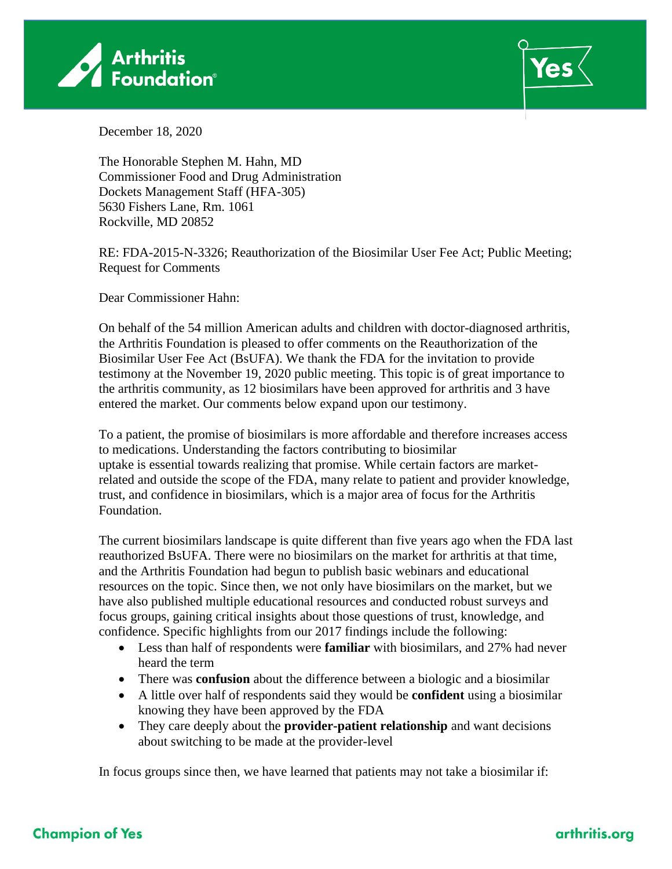



December 18, 2020

The Honorable Stephen M. Hahn, MD Commissioner Food and Drug Administration Dockets Management Staff (HFA-305) 5630 Fishers Lane, Rm. 1061 Rockville, MD 20852

RE: FDA-2015-N-3326; Reauthorization of the Biosimilar User Fee Act; Public Meeting; Request for Comments

Dear Commissioner Hahn:

On behalf of the 54 million American adults and children with doctor-diagnosed arthritis, the Arthritis Foundation is pleased to offer comments on the Reauthorization of the Biosimilar User Fee Act (BsUFA). We thank the FDA for the invitation to provide testimony at the November 19, 2020 public meeting. This topic is of great importance to the arthritis community, as 12 biosimilars have been approved for arthritis and 3 have entered the market. Our comments below expand upon our testimony.

To a patient, the promise of biosimilars is more affordable and therefore increases access to medications. Understanding the factors contributing to biosimilar uptake is essential towards realizing that promise. While certain factors are marketrelated and outside the scope of the FDA, many relate to patient and provider knowledge, trust, and confidence in biosimilars, which is a major area of focus for the Arthritis Foundation.

The current biosimilars landscape is quite different than five years ago when the FDA last reauthorized BsUFA. There were no biosimilars on the market for arthritis at that time, and the Arthritis Foundation had begun to publish basic webinars and educational resources on the topic. Since then, we not only have biosimilars on the market, but we have also published multiple educational resources and conducted robust surveys and focus groups, gaining critical insights about those questions of trust, knowledge, and confidence. Specific highlights from our 2017 findings include the following:

- Less than half of respondents were **familiar** with biosimilars, and 27% had never heard the term
- There was **confusion** about the difference between a biologic and a biosimilar
- A little over half of respondents said they would be **confident** using a biosimilar knowing they have been approved by the FDA
- They care deeply about the **provider-patient relationship** and want decisions about switching to be made at the provider-level

In focus groups since then, we have learned that patients may not take a biosimilar if:

## arthritis.org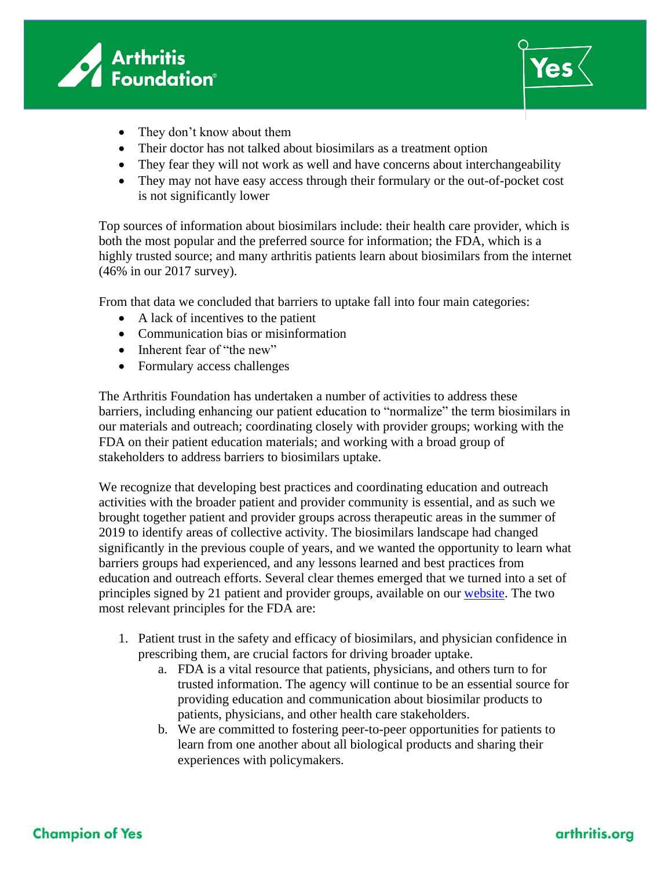



- They don't know about them
- Their doctor has not talked about biosimilars as a treatment option
- They fear they will not work as well and have concerns about interchangeability
- They may not have easy access through their formulary or the out-of-pocket cost is not significantly lower

Top sources of information about biosimilars include: their health care provider, which is both the most popular and the preferred source for information; the FDA, which is a highly trusted source; and many arthritis patients learn about biosimilars from the internet (46% in our 2017 survey).

From that data we concluded that barriers to uptake fall into four main categories:

- A lack of incentives to the patient
- Communication bias or misinformation
- Inherent fear of "the new"
- Formulary access challenges

The Arthritis Foundation has undertaken a number of activities to address these barriers, including enhancing our patient education to "normalize" the term biosimilars in our materials and outreach; coordinating closely with provider groups; working with the FDA on their patient education materials; and working with a broad group of stakeholders to address barriers to biosimilars uptake.

We recognize that developing best practices and coordinating education and outreach activities with the broader patient and provider community is essential, and as such we brought together patient and provider groups across therapeutic areas in the summer of 2019 to identify areas of collective activity. The biosimilars landscape had changed significantly in the previous couple of years, and we wanted the opportunity to learn what barriers groups had experienced, and any lessons learned and best practices from education and outreach efforts. Several clear themes emerged that we turned into a set of principles signed by 21 patient and provider groups, available on our [website.](http://d3dkdvqff0zqx.cloudfront.net/groups/arthritis/attachments/patient-provider-biosimilars-principles.pdf) The two most relevant principles for the FDA are:

- 1. Patient trust in the safety and efficacy of biosimilars, and physician confidence in prescribing them, are crucial factors for driving broader uptake.
	- a. FDA is a vital resource that patients, physicians, and others turn to for trusted information. The agency will continue to be an essential source for providing education and communication about biosimilar products to patients, physicians, and other health care stakeholders.
	- b. We are committed to fostering peer-to-peer opportunities for patients to learn from one another about all biological products and sharing their experiences with policymakers.

## **Champion of Yes**

## arthritis.org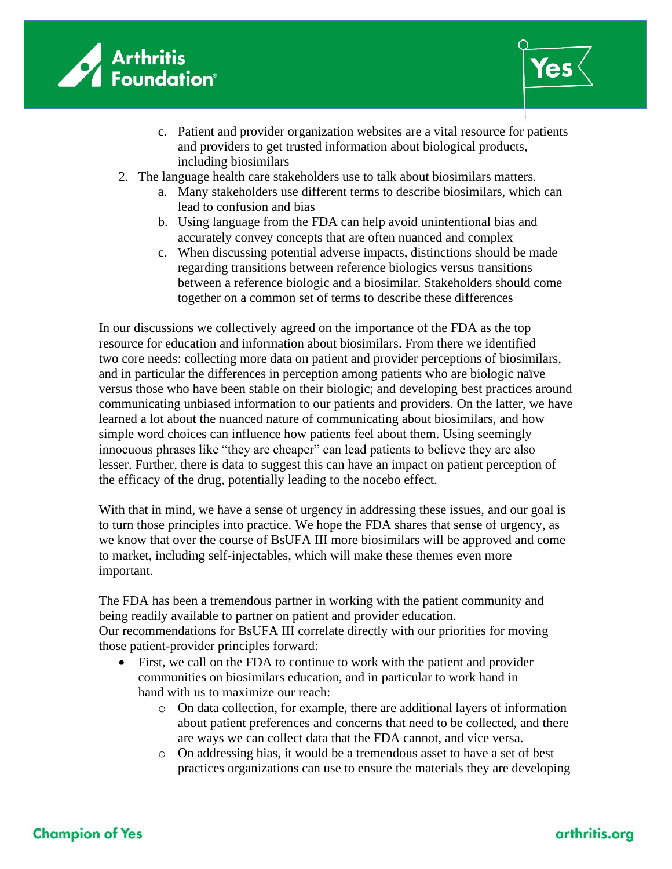



- c. Patient and provider organization websites are a vital resource for patients and providers to get trusted information about biological products, including biosimilars
- 2. The language health care stakeholders use to talk about biosimilars matters.
	- a. Many stakeholders use different terms to describe biosimilars, which can lead to confusion and bias
	- b. Using language from the FDA can help avoid unintentional bias and accurately convey concepts that are often nuanced and complex
	- c. When discussing potential adverse impacts, distinctions should be made regarding transitions between reference biologics versus transitions between a reference biologic and a biosimilar. Stakeholders should come together on a common set of terms to describe these differences

In our discussions we collectively agreed on the importance of the FDA as the top resource for education and information about biosimilars. From there we identified two core needs: collecting more data on patient and provider perceptions of biosimilars, and in particular the differences in perception among patients who are biologic naïve versus those who have been stable on their biologic; and developing best practices around communicating unbiased information to our patients and providers. On the latter, we have learned a lot about the nuanced nature of communicating about biosimilars, and how simple word choices can influence how patients feel about them. Using seemingly innocuous phrases like "they are cheaper" can lead patients to believe they are also lesser. Further, there is data to suggest this can have an impact on patient perception of the efficacy of the drug, potentially leading to the nocebo effect.

With that in mind, we have a sense of urgency in addressing these issues, and our goal is to turn those principles into practice. We hope the FDA shares that sense of urgency, as we know that over the course of BsUFA III more biosimilars will be approved and come to market, including self-injectables, which will make these themes even more important.

The FDA has been a tremendous partner in working with the patient community and being readily available to partner on patient and provider education. Our recommendations for BsUFA III correlate directly with our priorities for moving those patient-provider principles forward:

- First, we call on the FDA to continue to work with the patient and provider communities on biosimilars education, and in particular to work hand in hand with us to maximize our reach:
	- o On data collection, for example, there are additional layers of information about patient preferences and concerns that need to be collected, and there are ways we can collect data that the FDA cannot, and vice versa.
	- o On addressing bias, it would be a tremendous asset to have a set of best practices organizations can use to ensure the materials they are developing